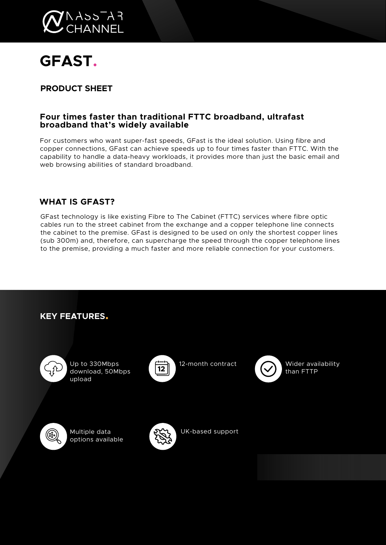

# **GFAST.**

# **PRODUCT SHEET**

## **Four times faster than traditional FTTC broadband, ultrafast broadband that's widely available**

For customers who want super-fast speeds, GFast is the ideal solution. Using fibre and copper connections, GFast can achieve speeds up to four times faster than FTTC. With the capability to handle a data-heavy workloads, it provides more than just the basic email and web browsing abilities of standard broadband.

## **WHAT IS GFAST?**

GFast technology is like existing Fibre to The Cabinet (FTTC) services where fibre optic cables run to the street cabinet from the exchange and a copper telephone line connects the cabinet to the premise. GFast is designed to be used on only the shortest copper lines (sub 300m) and, therefore, can supercharge the speed through the copper telephone lines to the premise, providing a much faster and more reliable connection for your customers.

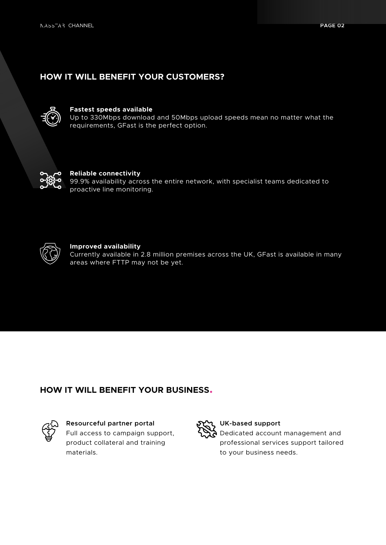## **HOW IT WILL BENEFIT YOUR CUSTOMERS?**



## **Fastest speeds available**

Up to 330Mbps download and 50Mbps upload speeds mean no matter what the requirements, GFast is the perfect option.



#### **Reliable connectivity**

99.9% availability across the entire network, with specialist teams dedicated to proactive line monitoring.



#### **Improved availability**

Currently available in 2.8 million premises across the UK, GFast is available in many areas where FTTP may not be yet.

## **HOW IT WILL BENEFIT YOUR BUSINESS.**



### **Resourceful partner portal**

Full access to campaign support, product collateral and training materials.



### **UK-based support**

Dedicated account management and professional services support tailored to your business needs.